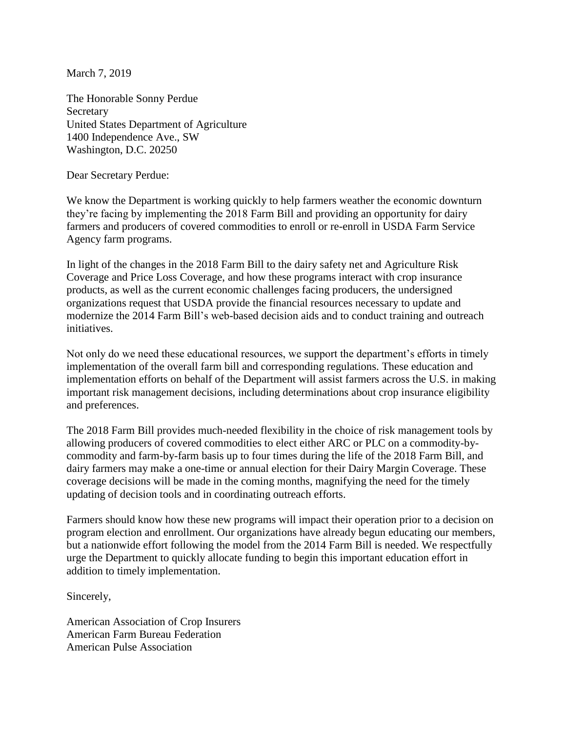March 7, 2019

The Honorable Sonny Perdue **Secretary** United States Department of Agriculture 1400 Independence Ave., SW Washington, D.C. 20250

Dear Secretary Perdue:

We know the Department is working quickly to help farmers weather the economic downturn they're facing by implementing the 2018 Farm Bill and providing an opportunity for dairy farmers and producers of covered commodities to enroll or re-enroll in USDA Farm Service Agency farm programs.

In light of the changes in the 2018 Farm Bill to the dairy safety net and Agriculture Risk Coverage and Price Loss Coverage, and how these programs interact with crop insurance products, as well as the current economic challenges facing producers, the undersigned organizations request that USDA provide the financial resources necessary to update and modernize the 2014 Farm Bill's web-based decision aids and to conduct training and outreach initiatives.

Not only do we need these educational resources, we support the department's efforts in timely implementation of the overall farm bill and corresponding regulations. These education and implementation efforts on behalf of the Department will assist farmers across the U.S. in making important risk management decisions, including determinations about crop insurance eligibility and preferences.

The 2018 Farm Bill provides much-needed flexibility in the choice of risk management tools by allowing producers of covered commodities to elect either ARC or PLC on a commodity-bycommodity and farm-by-farm basis up to four times during the life of the 2018 Farm Bill, and dairy farmers may make a one-time or annual election for their Dairy Margin Coverage. These coverage decisions will be made in the coming months, magnifying the need for the timely updating of decision tools and in coordinating outreach efforts.

Farmers should know how these new programs will impact their operation prior to a decision on program election and enrollment. Our organizations have already begun educating our members, but a nationwide effort following the model from the 2014 Farm Bill is needed. We respectfully urge the Department to quickly allocate funding to begin this important education effort in addition to timely implementation.

Sincerely,

American Association of Crop Insurers American Farm Bureau Federation American Pulse Association